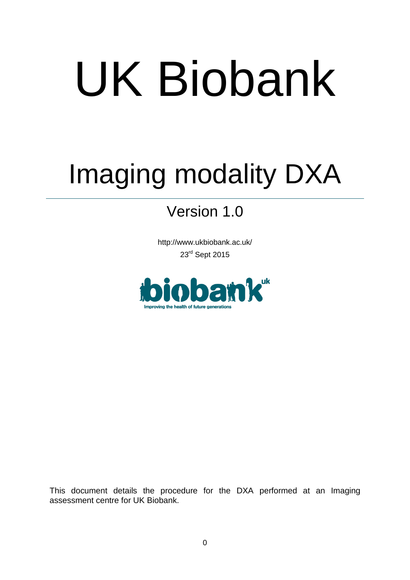# UK Biobank

## Imaging modality DXA

### Version 1.0

http://www.ukbiobank.ac.uk/ 23rd Sept 2015



This document details the procedure for the DXA performed at an Imaging assessment centre for UK Biobank.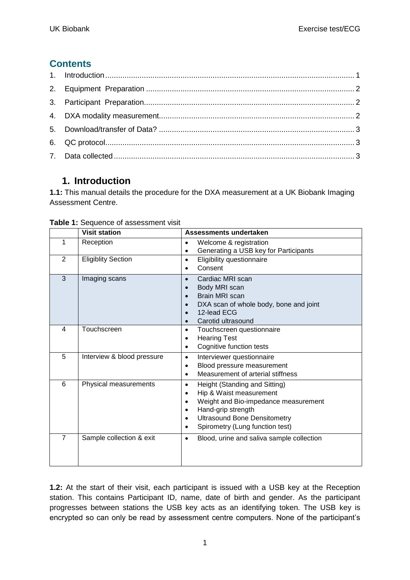#### **Contents**

#### **1. Introduction**

<span id="page-1-0"></span>**1.1:** This manual details the procedure for the DXA measurement at a UK Biobank Imaging Assessment Centre.

|                | <b>Visit station</b>       | Assessments undertaken                                                                                                                                                                                                          |
|----------------|----------------------------|---------------------------------------------------------------------------------------------------------------------------------------------------------------------------------------------------------------------------------|
| 1              | Reception                  | Welcome & registration<br>٠<br>Generating a USB key for Participants                                                                                                                                                            |
| 2              | <b>Eligiblity Section</b>  | Eligibility questionnaire<br>$\bullet$<br>Consent                                                                                                                                                                               |
| 3              | Imaging scans              | Cardiac MRI scan<br>Body MRI scan<br><b>Brain MRI scan</b><br>DXA scan of whole body, bone and joint<br>12-lead ECG<br>Carotid ultrasound                                                                                       |
| 4              | Touchscreen                | Touchscreen questionnaire<br>$\bullet$<br><b>Hearing Test</b><br>٠<br>Cognitive function tests<br>$\bullet$                                                                                                                     |
| 5              | Interview & blood pressure | Interviewer questionnaire<br>$\bullet$<br>Blood pressure measurement<br>٠<br>Measurement of arterial stiffness<br>$\bullet$                                                                                                     |
| 6              | Physical measurements      | Height (Standing and Sitting)<br>$\bullet$<br>Hip & Waist measurement<br>٠<br>Weight and Bio-impedance measurement<br>Hand-grip strength<br><b>Ultrasound Bone Densitometry</b><br>Spirometry (Lung function test)<br>$\bullet$ |
| $\overline{7}$ | Sample collection & exit   | Blood, urine and saliva sample collection<br>$\bullet$                                                                                                                                                                          |

**Table 1:** Sequence of assessment visit

**1.2:** At the start of their visit, each participant is issued with a USB key at the Reception station. This contains Participant ID, name, date of birth and gender. As the participant progresses between stations the USB key acts as an identifying token. The USB key is encrypted so can only be read by assessment centre computers. None of the participant's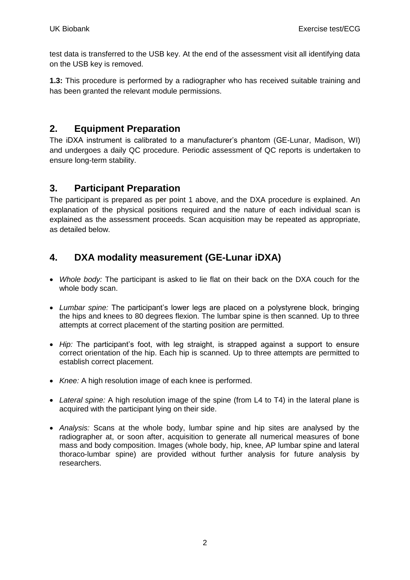test data is transferred to the USB key. At the end of the assessment visit all identifying data on the USB key is removed.

**1.3:** This procedure is performed by a radiographer who has received suitable training and has been granted the relevant module permissions.

#### <span id="page-2-0"></span>**2. Equipment Preparation**

The iDXA instrument is calibrated to a manufacturer's phantom (GE-Lunar, Madison, WI) and undergoes a daily QC procedure. Periodic assessment of QC reports is undertaken to ensure long-term stability.

#### <span id="page-2-1"></span>**3. Participant Preparation**

The participant is prepared as per point 1 above, and the DXA procedure is explained. An explanation of the physical positions required and the nature of each individual scan is explained as the assessment proceeds. Scan acquisition may be repeated as appropriate, as detailed below.

#### <span id="page-2-2"></span>**4. DXA modality measurement (GE-Lunar iDXA)**

- *Whole body:* The participant is asked to lie flat on their back on the DXA couch for the whole body scan.
- *Lumbar spine:* The participant's lower legs are placed on a polystyrene block, bringing the hips and knees to 80 degrees flexion. The lumbar spine is then scanned. Up to three attempts at correct placement of the starting position are permitted.
- *Hip:* The participant's foot, with leg straight, is strapped against a support to ensure correct orientation of the hip. Each hip is scanned. Up to three attempts are permitted to establish correct placement.
- *Knee:* A high resolution image of each knee is performed.
- *Lateral spine:* A high resolution image of the spine (from L4 to T4) in the lateral plane is acquired with the participant lying on their side.
- *Analysis:* Scans at the whole body, lumbar spine and hip sites are analysed by the radiographer at, or soon after, acquisition to generate all numerical measures of bone mass and body composition. Images (whole body, hip, knee, AP lumbar spine and lateral thoraco-lumbar spine) are provided without further analysis for future analysis by researchers.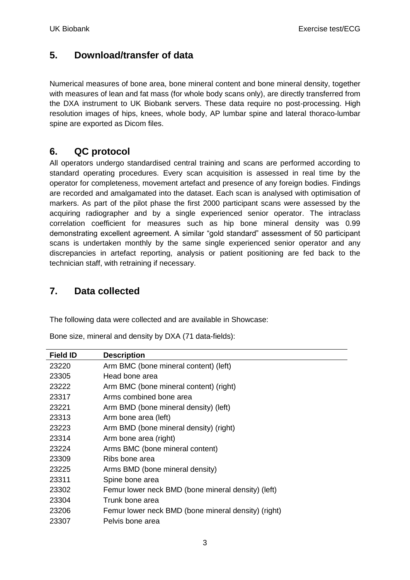#### <span id="page-3-0"></span>**5. Download/transfer of data**

Numerical measures of bone area, bone mineral content and bone mineral density, together with measures of lean and fat mass (for whole body scans only), are directly transferred from the DXA instrument to UK Biobank servers. These data require no post-processing. High resolution images of hips, knees, whole body, AP lumbar spine and lateral thoraco-lumbar spine are exported as Dicom files.

#### <span id="page-3-1"></span>**6. QC protocol**

All operators undergo standardised central training and scans are performed according to standard operating procedures. Every scan acquisition is assessed in real time by the operator for completeness, movement artefact and presence of any foreign bodies. Findings are recorded and amalgamated into the dataset. Each scan is analysed with optimisation of markers. As part of the pilot phase the first 2000 participant scans were assessed by the acquiring radiographer and by a single experienced senior operator. The intraclass correlation coefficient for measures such as hip bone mineral density was 0.99 demonstrating excellent agreement. A similar "gold standard" assessment of 50 participant scans is undertaken monthly by the same single experienced senior operator and any discrepancies in artefact reporting, analysis or patient positioning are fed back to the technician staff, with retraining if necessary.

#### <span id="page-3-2"></span>**7. Data collected**

The following data were collected and are available in Showcase:

Bone size, mineral and density by DXA (71 data-fields):

| <b>Field ID</b> | <b>Description</b>                                  |
|-----------------|-----------------------------------------------------|
| 23220           | Arm BMC (bone mineral content) (left)               |
| 23305           | Head bone area                                      |
| 23222           | Arm BMC (bone mineral content) (right)              |
| 23317           | Arms combined bone area                             |
| 23221           | Arm BMD (bone mineral density) (left)               |
| 23313           | Arm bone area (left)                                |
| 23223           | Arm BMD (bone mineral density) (right)              |
| 23314           | Arm bone area (right)                               |
| 23224           | Arms BMC (bone mineral content)                     |
| 23309           | Ribs bone area                                      |
| 23225           | Arms BMD (bone mineral density)                     |
| 23311           | Spine bone area                                     |
| 23302           | Femur lower neck BMD (bone mineral density) (left)  |
| 23304           | Trunk bone area                                     |
| 23206           | Femur lower neck BMD (bone mineral density) (right) |
| 23307           | Pelvis bone area                                    |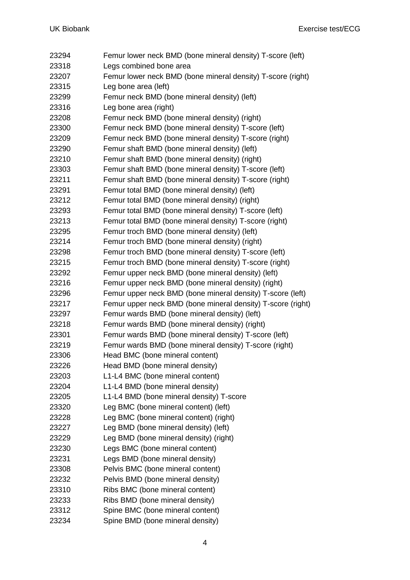| 23294 | Femur lower neck BMD (bone mineral density) T-score (left)  |
|-------|-------------------------------------------------------------|
| 23318 | Legs combined bone area                                     |
| 23207 | Femur lower neck BMD (bone mineral density) T-score (right) |
| 23315 | Leg bone area (left)                                        |
| 23299 | Femur neck BMD (bone mineral density) (left)                |
| 23316 | Leg bone area (right)                                       |
| 23208 | Femur neck BMD (bone mineral density) (right)               |
| 23300 | Femur neck BMD (bone mineral density) T-score (left)        |
| 23209 | Femur neck BMD (bone mineral density) T-score (right)       |
| 23290 | Femur shaft BMD (bone mineral density) (left)               |
| 23210 | Femur shaft BMD (bone mineral density) (right)              |
| 23303 | Femur shaft BMD (bone mineral density) T-score (left)       |
| 23211 | Femur shaft BMD (bone mineral density) T-score (right)      |
| 23291 | Femur total BMD (bone mineral density) (left)               |
| 23212 | Femur total BMD (bone mineral density) (right)              |
| 23293 | Femur total BMD (bone mineral density) T-score (left)       |
| 23213 | Femur total BMD (bone mineral density) T-score (right)      |
| 23295 | Femur troch BMD (bone mineral density) (left)               |
| 23214 | Femur troch BMD (bone mineral density) (right)              |
| 23298 | Femur troch BMD (bone mineral density) T-score (left)       |
| 23215 | Femur troch BMD (bone mineral density) T-score (right)      |
| 23292 | Femur upper neck BMD (bone mineral density) (left)          |
| 23216 | Femur upper neck BMD (bone mineral density) (right)         |
| 23296 | Femur upper neck BMD (bone mineral density) T-score (left)  |
| 23217 | Femur upper neck BMD (bone mineral density) T-score (right) |
| 23297 | Femur wards BMD (bone mineral density) (left)               |
| 23218 | Femur wards BMD (bone mineral density) (right)              |
| 23301 | Femur wards BMD (bone mineral density) T-score (left)       |
| 23219 | Femur wards BMD (bone mineral density) T-score (right)      |
| 23306 | Head BMC (bone mineral content)                             |
| 23226 | Head BMD (bone mineral density)                             |
| 23203 | L1-L4 BMC (bone mineral content)                            |
| 23204 | L1-L4 BMD (bone mineral density)                            |
| 23205 | L1-L4 BMD (bone mineral density) T-score                    |
| 23320 | Leg BMC (bone mineral content) (left)                       |
| 23228 | Leg BMC (bone mineral content) (right)                      |
| 23227 | Leg BMD (bone mineral density) (left)                       |
| 23229 | Leg BMD (bone mineral density) (right)                      |
| 23230 | Legs BMC (bone mineral content)                             |
| 23231 | Legs BMD (bone mineral density)                             |
| 23308 | Pelvis BMC (bone mineral content)                           |
| 23232 | Pelvis BMD (bone mineral density)                           |
| 23310 | Ribs BMC (bone mineral content)                             |
| 23233 | Ribs BMD (bone mineral density)                             |
| 23312 | Spine BMC (bone mineral content)                            |
| 23234 | Spine BMD (bone mineral density)                            |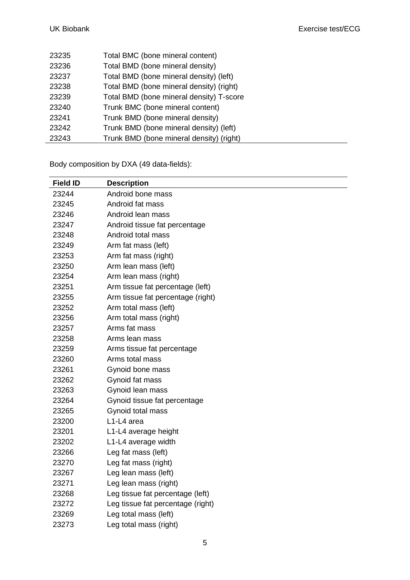| 23235 | Total BMC (bone mineral content)         |
|-------|------------------------------------------|
| 23236 | Total BMD (bone mineral density)         |
| 23237 | Total BMD (bone mineral density) (left)  |
| 23238 | Total BMD (bone mineral density) (right) |
| 23239 | Total BMD (bone mineral density) T-score |
| 23240 | Trunk BMC (bone mineral content)         |
| 23241 | Trunk BMD (bone mineral density)         |
| 23242 | Trunk BMD (bone mineral density) (left)  |
| 23243 | Trunk BMD (bone mineral density) (right) |
|       |                                          |

Body composition by DXA (49 data-fields):

| <b>Field ID</b> | <b>Description</b>                |
|-----------------|-----------------------------------|
| 23244           | Android bone mass                 |
| 23245           | Android fat mass                  |
| 23246           | Android lean mass                 |
| 23247           | Android tissue fat percentage     |
| 23248           | Android total mass                |
| 23249           | Arm fat mass (left)               |
| 23253           | Arm fat mass (right)              |
| 23250           | Arm lean mass (left)              |
| 23254           | Arm lean mass (right)             |
| 23251           | Arm tissue fat percentage (left)  |
| 23255           | Arm tissue fat percentage (right) |
| 23252           | Arm total mass (left)             |
| 23256           | Arm total mass (right)            |
| 23257           | Arms fat mass                     |
| 23258           | Arms lean mass                    |
| 23259           | Arms tissue fat percentage        |
| 23260           | Arms total mass                   |
| 23261           | Gynoid bone mass                  |
| 23262           | Gynoid fat mass                   |
| 23263           | Gynoid lean mass                  |
| 23264           | Gynoid tissue fat percentage      |
| 23265           | Gynoid total mass                 |
| 23200           | L1-L4 area                        |
| 23201           | L1-L4 average height              |
| 23202           | L1-L4 average width               |
| 23266           | Leg fat mass (left)               |
| 23270           | Leg fat mass (right)              |
| 23267           | Leg lean mass (left)              |
| 23271           | Leg lean mass (right)             |
| 23268           | Leg tissue fat percentage (left)  |
| 23272           | Leg tissue fat percentage (right) |
| 23269           | Leg total mass (left)             |
| 23273           | Leg total mass (right)            |